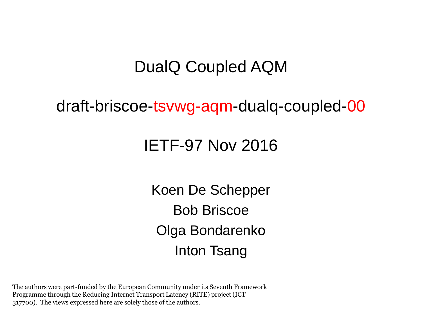#### DualQ Coupled AQM

#### draft-briscoe-tsvwg-aqm-dualq-coupled-00

#### IETF-97 Nov 2016

Koen De Schepper Bob Briscoe Olga Bondarenko Inton Tsang

The authors were part-funded by the European Community under its Seventh Framework Programme through the Reducing Internet Transport Latency (RITE) project (ICT-317700). The views expressed here are solely those of the authors.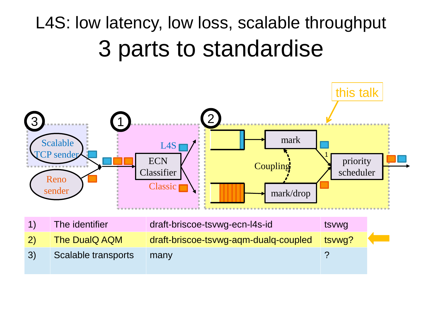### L4S: low latency, low loss, scalable throughput 3 parts to standardise

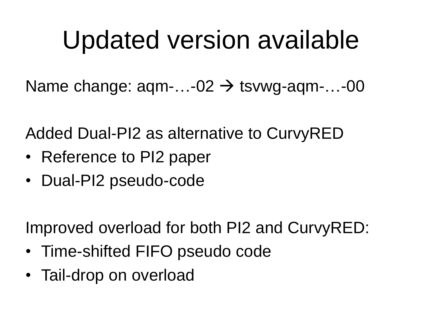## Updated version available

Name change:  $aqm$ -...-02  $\rightarrow$  tsvwg-aqm-...-00

Added Dual-PI2 as alternative to CurvyRED

- Reference to PI2 paper
- Dual-PI2 pseudo-code

Improved overload for both PI2 and CurvyRED:

- Time-shifted FIFO pseudo code
- Tail-drop on overload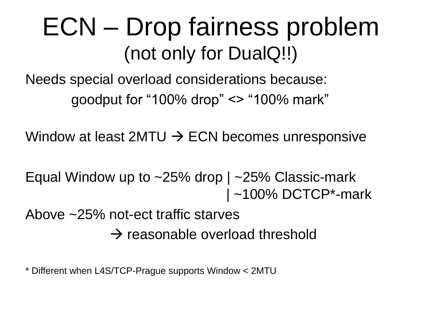### ECN – Drop fairness problem (not only for DualQ!!)

Needs special overload considerations because: goodput for "100% drop" <> "100% mark"

Window at least 2MTU  $\rightarrow$  ECN becomes unresponsive

Equal Window up to  $\sim$  25% drop |  $\sim$  25% Classic-mark | ~100% DCTCP\*-mark

Above ~25% not-ect traffic starves

 $\rightarrow$  reasonable overload threshold

\* Different when L4S/TCP-Prague supports Window < 2MTU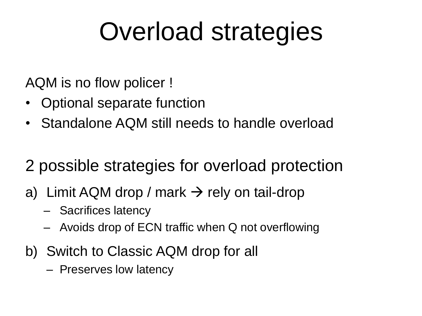## Overload strategies

AQM is no flow policer !

- Optional separate function
- Standalone AQM still needs to handle overload
- 2 possible strategies for overload protection
- a) Limit AQM drop / mark  $\rightarrow$  rely on tail-drop
	- Sacrifices latency
	- Avoids drop of ECN traffic when Q not overflowing
- b) Switch to Classic AQM drop for all
	- Preserves low latency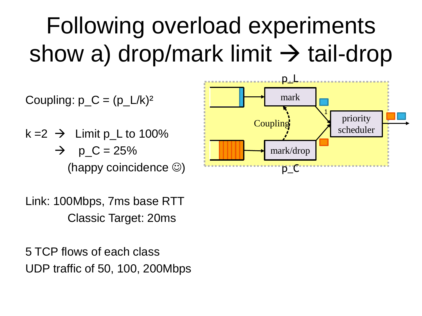## Following overload experiments show a) drop/mark limit  $\rightarrow$  tail-drop



Link: 100Mbps, 7ms base RTT Classic Target: 20ms

5 TCP flows of each class UDP traffic of 50, 100, 200Mbps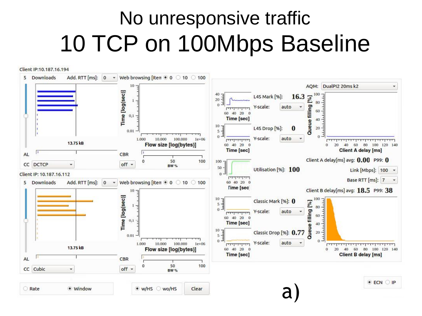### No unresponsive traffic 10 TCP on 100Mbps Baseline

Client IP:10.187.16.194



Rate · Window  $\bullet$  w/HS  $\circ$  wo/HS Clear **ECN OP**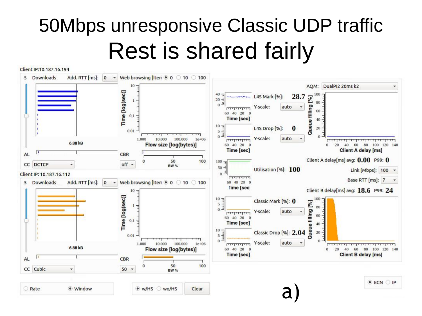### 50Mbps unresponsive Classic UDP traffic **Rest is shared fairly**

Client IP:10.187.16.194



Rate · Window  $\bullet$  w/HS  $\circ$  wo/HS Clear  $\bullet$  ECN  $\circ$  IP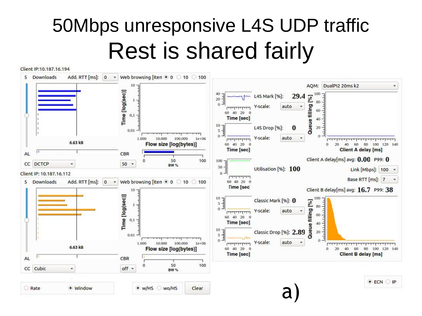### 50Mbps unresponsive L4S UDP traffic **Rest is shared fairly**

Client IP:10.187.16.194



· Window Rate

<sup>●</sup> w/HS ○ wo/HS Clear  $\bullet$  ECN  $\bigcirc$  IP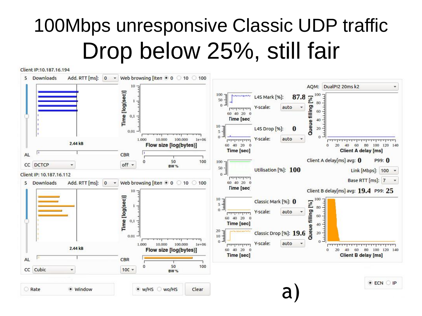### 100Mbps unresponsive Classic UDP traffic Drop below 25%, still fair

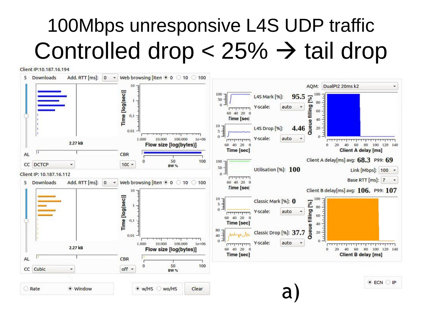### 100Mbps unresponsive L4S UDP traffic Controlled drop  $<$  25%  $\rightarrow$  tail drop

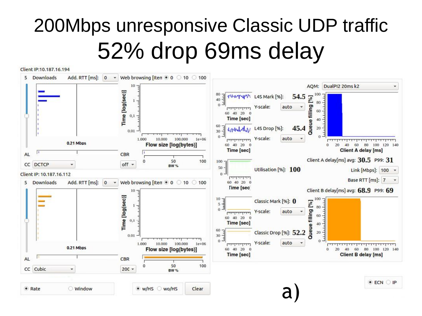### 200Mbps unresponsive Classic UDP traffic 52% drop 69ms delay

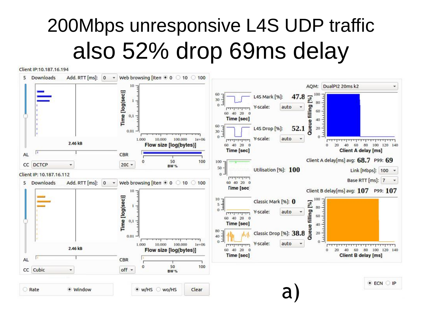### 200Mbps unresponsive L4S UDP traffic also 52% drop 69ms delay

Client IP:10.187.16.194



**O** Rate · Window  $\bullet$  w/HS  $\circ$  wo/HS Clear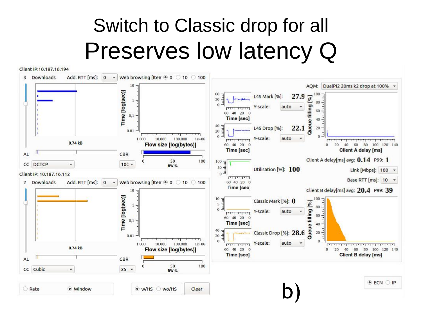### Switch to Classic drop for all Preserves low latency Q